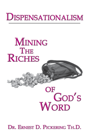# **DISPENSATIONALISM**

**MINING THE RICHES** 

# OF God's **WORD**

DR. ERNEST D. PICKERING TH.D.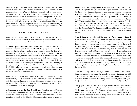Many years ago, I was introduced to the system of biblical interpretation known as *dispensationalism*. It revolutionized my life. I received a fresh understanding of the Word of God and was motivated to study it more diligently. At that time the system was better known to the average church member than it is today. It is the intent of this book to produce in as simple and concise a fashion as possible the leading features of dispensationalism, how it contrasts with other systems, and why it is beneficial to the Bible student. Other more scholarly and lengthy works are available for those wishing to pursue the matter further. It is not our purpose to compete with these books.

#### **WHAT IS DISPENSATIONALISM?**

Dispensationalism essentially is a system of biblical interpretation. It draws from the Scriptures themselves the principles of interpretation. It has numerous features, some of which we here delineate.

**A literal, grammatical-historical hermeneutic.** This is basic to the understanding of dispensationalism. David L. Cooper put it this way: "Take every word at its primary, ordinary, usual meaning unless the facts of the immediate context, studied in the light of related passages and axiomatic and fundamental truths, indicate clearly otherwise."<sup>1</sup> In other words, one is not allowed to import meanings into the Scriptures which are not plainly found there. Many systems of interpretation do just that. Some evangelicals have advocated what is called a *theological interpretation*. This yields meaning to passages based upon one's theological bent rather than an exegesis of the text itself. This is obviously a dangerous approach which bases the interpretation of God's Word upon one's personal bias rather than upon a diligent search for the actual meaning of the Scriptures.

Dispensationalists seek to have consistent hermeneutics (principles of biblical interpretation). They do not change their principle, for example, when they seek the meaning of prophetic portions of Scripture. Neither do they ignore the scriptural use of symbols, metaphors, and other figures of speech. These are part of the normal use of language.

**A distinction between the Church and Israel.** One of the major differences between the dispensational system and other systems lies in this truth. Many refer to the Church as *spiritual Israel* and apply many of the Old Testament promises to Israel to the Church. Dispensationalists, however, reject the

notion that Old Testament promises to Israel have been fulfilled in the Church. God has a separate and yet unfulfilled purpose for the physical seed of Abraham. While the nation has strayed from God and is not now in the place of blessing, in the future, by God's sovereign power, it will be returned to its land and be the recipient of abundant blessings from the Lord. Since the Church began at Pentecost and is formed by the baptism of the Holy Spirit, no Old Testament Israelite could possibly have been a member of the Church. Paul speaks of "the Jews...the Gentiles...the church of God" (I Cor. 10:32). Paul prays for the nation of Israel (Rom. 10:1) as an entity apart from the Church. Romans 9:6 ("For they are not all Israel, which are of Israel") does not infer Israel is the Church, but simply distinguishes between two types of Israelites.

**A conviction that the major unifying purpose of God cannot be limited to the salvation of the elect, but is rather the total exaltation of Christ and the demonstration of God's glory.** A popular and competing system of thought, covenant theology, sees the coordinating divine purpose through all the ages as the personal salvation of believers. Out of this assumption rises some of their criticism of dispensationalists, such as their charge that dispensationalists teach different ways of salvation. Dispensationalists, however, do not view the various dispensations as *ways of salvation*. To a covenant theologian, however, a dispensation would be an aspect of God's provision of personal redemption. This is a misunderstanding of the nature of a dispensation. God is doing more throughout history than just saving individuals from hell. He is working out His purpose for the nation of Israel for the angels, for the Church, and for the physical earth. He is not limited to doing one thing.

**Salvation is by grace through faith in every dispensation.** Dispensationalists do not teach, for example, Israelites living under the Old Testament law earned Heaven on the strength of their obedience to that law. It is clearly stated "no man is justified by the law in the sight of God" (Gal. 3:11). The offering of sacrifices could "never take away sins" (Heb. 10:11).

The big question here is, "What was the object of the Old Testament believer's faith?" Anti-dispensationalists bring New Testament revelation back into the Old Testament and teach the Old Testament believer somehow had faith in the finished work of Christ on the cross before such a sacrifice ever occurred. Thedispensational approach to this is nicely stated as follows in the Dallas Theological Seminary Statement of Faith: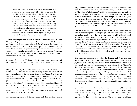We believe that it has always been true that "without faith it is impossible to please God" (Heb. 11:6), and that the principle of faith was prevalent in the lives of all the Old Testament saints. However, we believe that it was historically impossible that they should have had as the conscious object of their faith the incarnate, crucified Son, the Lamb of God (John 1:29), and that it is evident that they did not comprehend as we do that their faith toward God was manifested in other ways as is shown by the long record in Hebrews 11:1-40. We believe further that their faith thus manifested was counted to them for righteousness (cf. Rom. 4:3 with Gen. 15:6; Rom. 4:5-8; Heb. 11:7).

**There is a distinguishable pattern of progressive revelation in Scripture. During each period, man is especially accountable to God in some particular way.** The term *progressive revelation* refers to the fact that God has revealed Himself little by little to man over a period of time rather than all at once. In interpreting any given scripture passage, one must do so from the standpoint of the original author, his knowledge, and his times. One cannot read back into the Old Testament record truths which were revealed many centuries later in the New Testament.

It is evident from a study of Scriptures, New Testament writers possessed truth Old Testament writers did not have. This does not mean Old Testamentwriters were in error. They simply had more limited information.

One progressive dispensationalist denies that the truth of the union of the Gentiles and Israel in Christ is limited exclusively to the New Testament, but says "the prediction of the indwelling Spirit of God" in the Old Testament established "some connection" with the truths of Ephesians 3.2 Saucy cites such verses as Ezekiel 36:27 ("I will put my spirit within you") and Isaiah 44:3 ("I will pour my spirit upon the seed"). Two problems arise with this. First, the indwelling of the Spirit is not the distinguishing mark of the Church. It is rather the baptism of the Spirit. Second, what did the Old Testament writers themselves understand by their predictions? Certainly they knew nothing of a new entity, the Church, which would be separate from Israel. That truth was revealed at a later time.

**The various segments of divine revelation and their resultant human**

**responsibilities are referred to as** *dispensations***.** The word *dispensation* comes from the Greek word *oikonomia.* It means "the management of a household" or "the office of administrator." A biblical dispensation involves a divine revelation of some new approach on God's relationship with man and a resultant responsibility which man has. For example, in Genesis 8-11, the Lord gives revelation to man on two subjects: (1) the duty to replenish the earth, which had been decimated by the Noahic Flood, and (2) the duty to execute murderers. Mankind was expected to obey these commands. We generally refer to this as the "Dispensation of Human Government."

**Law and grace are mutually exclusive rules of life.** Well-meaning Christian teachers often try to put the contemporary Christian under some aspects of the Mosaic Law, thinking by so doing they are encouraging spiritual discipline and helping to provide control over the flesh, which otherwise would be uncontrolled. Paul, however, argues the Law could not produce a holy life. Only the Holy Spirit, indwelling each believer, can succeed in doing that (Rom. 8:1-4). We are not saved nor sanctified by the keeping of the law. We are under grace as a rule of life. This does not mean there was no grace manifested while the law was in force, nor does it mean to live under grace is to live without restrictions. To live as a believer today means we are under grace as our governing rule of life.

**The kingdom announced by John the Baptist and Jesus was not inaugurated.** It is here historic dispensationalists disagree with so-called *progressive* (revisionist) *dispensationalists*. When John the Baptist and Christ announced, "Repent: for the kingdom of heaven is at hand" (Matt 3:2; 4:17), they were presenting to the nation of Israel the promised Old Testament kingdom. John the Baptist was the announcer of Messiah and His promised kingdom. The Jews knew of no *spiritual* kingdom in the hearts of men, but only of the kingdom spoken of by the prophets of Israel, which was temporal and earthly. Because Israel rejected their King and His kingdom, it was not instituted. It remains for a future time when the King will return. Progressive dispensationalists believe it was partially inaugurated, and thus they confuse the Church with Israel.

Christ told the nation Israel the establishment of the promised Old Testament kingdom was dependent upon their reception of His message. "And *if ye will receive it*, this is Elias (Elijah) which is for to come" (italics added, Matt. 11:14), that is, John the Baptist would be the promised Elijah, and the Messianic kingdom would be inaugurated. The nation, however, did not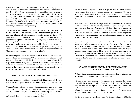receive the message, and the kingdom did not arrive. The Lord prepared the disciples for the postponement of the kingdom by His parable of the nobleman (Lk. 19:11-27). Those who thought the promised kingdom was going to "immediately appear"  $(v. 11)$  would be disappointed. First, the Nobleman (Christ) would have to depart into a far country (Heaven). After a passage of time, the Nobleman would return and claim His inheritance (establish Christ's kingdom). Our Lord (the Nobleman) is now in the glory. At God's time, He will "receive for Himself a kingdom" and will "return." The kingdom does not exist now, but awaits the King's coming.

**The consistent, literal interpretation of Scripture will yield two aspects of Christ's return: (1) the gathering of His Church at the Rapture, and (2) the establishment of His kingdom upon His return to Earth.** The dispensational interpretation of Scripture points to the doctrine of the pretribulation rapture. The Church will be caught up to Heaven before the beginning of the Tribulation, a period of divine judgement on the earth. Covenant premillennialists and covenant amillennialists do not believe in a rapture because they do not follow dispensational principles of interpretation. There, of course, are no dispensational amillennialists or postmillennialists. These systems are incompatible with dispensationalism.

In concluding this section, the natural question arises, "What would be a proper definition of a dispensation?" Various definitions have been proposed. One author has come up with this definition: A dispensation is "a particular way of God's administering His rule over the world as He progressively works out His purpose for world history."3 Harry Ironside said, "A dispensation, an economy, then, is that particular order or condition of things prevailing in one special age which does not necessarily prevail in another."<sup>4</sup>

#### **WHAT IS THE ORIGIN OF DISPENSATIONALISM?**

Is dispensationalism a legitimate system of biblical interpretation? Does its relatively recent origin as a systematized approach to Scripture invalidate it?

**Current Claims**. Those who oppose dispensationalism argue it is a recent development in church history. It originated, they emphasize, with an English scholar, J. Nelson Darby, and was popularized by the "Plymouth Brethren," a group which grew up around his teachings. Any system not found in the early church should not be accepted today, say they.

**Historical Facts**. Dispensationalism **as a systematized scheme** is of fairly recent origin. This does not prove its rightness nor wrongness. The fact a truth has been newly discovered or recently emphasized does not make it erroneous. The question is, "Is it biblical?" The test of truth is not age but Scripture.

As a matter of record, however, some principles of dispensationalism have been taught for centuries. It is not our purpose here to explore at length this fact, for others have done so. Years ago Arnold Ehlert, in a series entitled "A Bibliography of Dispensationalism,"5 researched the many expressions of dispensational truth throughout the centuries of church history. Important principles now incorporated into the system of dispensationalism were set forth by some writers in earlier centuries.

Covenant theologians are among the chief critics of dispensationalism and quick to emphasize its supposedly recent origins. But covenant theology is also recent itself. It arose a number of years after the Protestant Reformation, which does not make it much older than dispensationalism. Again, the proper question is not which system is oldest, but which system is most true to the Scriptures? Dispensationalism arose through an earnest study of the Bible. The merits of dispensationalism should be determined by following the Berean principle: they "searched the scriptures daily, whether these things were so" (Acts 17:11).

# **WHAT IS THE MAIN SYSTEM OF INTERPRETATIONOPPOSING DISPENSATIONALISM?**

Probably the most outspoken antagonists of dispensationalism have been those who embrace the system known as *covenant theology*.

**History of Covenant Theology**. Some people have the notion this system arose with the Reformers (Luther, Calvin, etc.). It did not. The Reformers were not covenant theologians. The system actually came from the minds of post-Reformation thinkers in Germany and Holland. More extensive information concerning this can be found in other volumes. Its major haven has been within Presbyterian and Reformed circles.

Olevianus, professor at Heidelberg, wrote *The Covenant of Grace* in 1570. He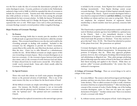was the first to make the idea of covenant the determinative principle of an entire theological system. Cocceius, professor at Leyden in the Netherlands, authored a large work in 1648, in which he expanded the idea of covenants to include the covenant of works. Turretin more fully elaborated the covenant idea while professor at Geneva. His works have been among the principle fountainheads for later covenant scholars. In 1646, the famous Westminister theologians such as Charles and A.A. Hodge, the Kuypers, Shedd, and others espoused this view as well. With major voices such as these proclaiming it, covenant theology secured a revered position within evangelical theology.

#### **Major Premises of Covenant Theology.**

#### **1. Its Essence**

Covenant theology holds that in eternity past the members of the Godhead made an agreement between themselves called the *covenant of grace*. This covenant bound them to save the elect and would be the overriding principle in dealing with mankind. Included in this covenant was the obligation to provide for Christ's incarnation, sustain Him in His earthly life, raise Him from the dead, and draw to Him the elect. Christ was to offer Himself as a substitutionary sacrifice for sins. All the biblical covenants are simply aspects of this one overarching covenant of grace. Most covenant theologians see at least two covenants: (1) the covenant of grace between God and the elect sinner, and (2) the covenant of works between God and Adam. If Adam obeyed God, he would receive eternal life. If he failed, he would receive eternal death. Some add a third, usually called the Covenant of Redemption.

#### **2. Its Special Features**

Those who teach this scheme see God's main purpose throughout history as the personal salvation of individuals. This is one of the main reasons why they see no future for the literal nation of Israel.

All the biblical covenants are simply outworkings of the covenant of grace. For instance, the Davidic covenant is not an irrevocable covenant with the physical seed of Abraham, but is a covenant only with his "spiritual seed." The spiritual seed now constitutes the Church.

Infant baptism has replaced circumcision as the outward sign a person

is included in the covenant. Some Baptists have embraced covenant theology inconsistently. True Baptist theology cannot accept covenant theology. This concept of infant baptism naturally impacts one's concept of the church. Typical covenant theologians believe a true church is composed of believers **and their children**, even though the children are infants and have not come to saving faith. They do not emphasize the scriptural doctrine of regenerate church membership (a church member must have personal, conscious faith in Christ).

The Church today is spiritual Israel and promises made to the physical seed of Abraham centuries ago have been fulfilled in a spiritual sense in the Church. Such a view immediately destroys a literal interpretation of Scripture. The Church was certainly not in mind when God made His promise to Abraham: "Unto they seed have I given this land" (Gen. 15:18). The Church has inherited no portion of this planet from God. Her possessions are spiritual.

Covenant theologians claim to accept the literal, grammatical, and historical principles of biblical interpretation. In interpreting some portions of Scripture, they do. When they approach prophetic portions, however, they switch gears, forsaking a literal interpretation and substituting an allegorical one. Thus, plain passages predicting physical blessings upon the nation of Israel in the future are robbed of their literal meaning and applied to the Church. While there are persons called "covenant premillennialists," the system they have embraced is incongruous.

**A Critique of Covenant Theology**. There are several things to be said in critique of this system:

- 1. It is extra-biblical. The system is derived from logical and theological premises and does not arise from a direct exegesis of Scripture. One writer declares, "The so-called covenant of works is really a fictitious invention which has no scriptural foundation."6 After introducing the concept of the covenant of works, Charles Hodge, one of the leading covenant theologians, states: it "does not rest upon any express declaration of Scripture."7 Another scholar notes "there is no mention of such a covenant with Adam."<sup>8</sup>
- 2. It, without warrant, narrows the purpose of God. God is doing more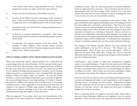in the universe than merely saving individuals from sin. God has purposes for creation, for angels, and for the nation of Israel.

- 3. It rejects the literal interpretation of the biblical covenants.
- 4. It makes all the biblical covenants outworkings of the covenant of grace. Under covenant theology, for instance, the dispensation of law is simply part of the overall implementation of the covenant of grace.
- 5. It maintains a false view of the Church, denying its distinctiveness as the Body of Christ.
- 6. It destroys an accurate interpretation of prophesy. One cannot discover God's plan for the future by spiritualizing prophetic portions of His Word.
- 7. It undermines the scriptural doctrine of the local church. The teaching of infant baptism, which prevails among covenant theologians, subverts the New Testament emphasis upon a church of believers only. Infants cannot believe.
- 8.

# **WHY IS THERE A DRIFT AWAY FROM DISPENSATIONALISM?**

When I first entered the ministry, dispensationalism was a widely-held and respected approach to the study of Scripture. My first exposure to this system, I recall, was from Dr. Monroe Parker, noted evangelist and teacher of Bible at the time at my alma mater, Bob Jones University. In a simple and powerful way he explained the dispensational approach to Scripture, and his teaching helped me greatly as a young Christian. Later, I attended Dallas Theological Seminary while Lewis Sperry Chafer was president. He and other faculty members, as well as outstanding visiting lecturers, gave me further insight into the system and helped me grow in my understanding. Dr. Charles F. Lincoln, then professor of Bible at the seminary, had an excellent course in "Covenants and Dispensations," which, regrettably, was never placed into book form. In addition to the influence of Dallas, large numbers of Bible institutes and colleges across America, including some of the most prestigious, held to dispensational theology and taught it in their classrooms.

What has happened? Even schools which once were fountainheads of this teaching have now either turned from it completely or offered watered-down, *revolutionist* versions. There are a decreasing number of academic institutions which are dispensational in conviction. Some institutions give lip service to dispensational truth, but their younger faculty members have come from schools where they did not receive training in it and are ill-equipped to teach it and, in some cases, have no real convictions about it.

Dispensationalism is portrayed as unscholarly in some academic realms. The great contributions and recognized scholarship of some of its leading advocates have been deliberately overlooked or played down. There have been noted teachers among the dispensationalists who lacked a great deal of formal scholarly training (such as Harry Ironside), but whose pungent and powerful exposition of Scripture was a blessing to thousands. Because such men as Ironside wrote simple Bible commentaries which appealed to lay people, and because such men were dispensationalists, the system of dispensationalism was looked down upon as inferior intellectually. It would help some contemporary scholars to remember simplicity does not always imply intellectual inferiority.

The writings of the Puritans and their followers have been reprinted and widely distributed in the last 30 or 40 years. The Puritans were not dispensationalists. Most of them were covenant theologians. While we appreciate the good things about their writings, they did not enunciate dispensational principles, and young pastors growing up on their teachings are ignorant of dispensationalism.

Unfortunately, a good number of widely-read, contemporary evangelical authors are covenant theologians. People who write books create followings, and those who follow tend to embrace the position of the authors they admire. If a man is a prominent writer, and if he is a covenant theologian, he will have an influence on readers. Many of these men also teach in prestigious colleges and seminaries from whence their influence reaches many students.

In the last 20 or 30 years there has been an increasing fraternization between covenant and dispensational leaders in such organizations as the Evangelical Theology Society. Friendships have been formed. Dispensational scholars have been impressed with the fact that covenant theologians are *nice fellows* (nobody ever said they weren't), and impetus has been given to building bridges between the two positions.

There is a growing climate of evangelical ecumenism today, which tends to play down sharp theological differences and emphasize areas of common agreement. This is viewed by many to be a great step forward for the Church,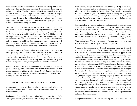but it is breaking down important spiritual barriers and causing some to view rather major theological differences as relatively insignificant. Fellowship and unity are emphasized. Theological problems interfering with such an emphasis are said to be less important. Dispensationalist leaders and writers in the past have not been unkind, but have been forceful and uncompromising in their retention and defense of the position of dispensationalism. Now, however, dispensationalists who do not wish to compromise their principles are often viewed as deterrents to evangelical unity.

Years ago a study Bible known as *The Scofield Bible* (because C.I. Scofield was its editor) was found in the possession of large numbers of Christians in fundamental churches. Most preachers in these churches preached from The Scofield Bible and were familiar with its contents. The Scofield Bible set forththe dispensational approach to Scripture through its introductory articles, extensive footnotes, and chain references. It is not nearly as widely known today as it once was, and it certainly is not as familiar to the average church member. Churches where the principles of dispensationalism were once commonly held are becoming increasingly bereft of such information.

Some men who were formerly dispensationalists have become covenant theologians (e.g., Bruce Waltke), and these men have an influence over younger men who are impressed by their arguments. And now a system called *progressive dispensationalism* has arisen. Proponents of this claim to be dispensationalists, but some of their leading principles carry them away from traditional dispensationalism, causing confusion among God's people.

For all these reasons and more, dispensationalism has suffered in the last few years. Thankfully, some qualified men have become alarmed at the situation and are beginning to address it. The volume, *Issues in Dispensationalism,<sup>8</sup>* is a defense of the more traditional view of dispensationalism. Hopefully, other writings will be made available.

#### **WHAT IS PROGRESSIVE DISPENSATIONALISM?**

A new school of thought has risen in the last few years which is referred to as *progressive dispensationalism* or *revolutionist dispensationalism*. Just what are the features of this system?

**Beginnings.** Progressive dispensationalism began to appear first at Dallas Theological Seminary, an institution which through the years has been the

major scholarly headquarters of dispensational teaching. Many, if not most, of the dispensational teachers at educational institutions in this country and others received their training at Dallas. Two of their faculty members in particular, Craig Blaising and Darrell Bock, began to develop the progressive approach and defend it in writing. Through their writings in the theological journal *Bibliotheca Sacra* and in later books, they have become the best known advocates though others have followed them.

**Characteristics**. In progressive dispensationalism, there is an emphasis upon change, particularly change in some time-honored precepts which traditional dispensationalists have followed. When people begin to talk about change, especially theological change, those who are loyal to God's Word and a fundamental position become somewhat nervous. Not all change is bad. Some change, however, is bad. One of the original authors of the progressive position gave an address at a 1986 conference entitled "Developing Dispensationalism." The word *developing* implies movement, but movement from what to what? This is a question of great importance.

Progressive dispensationalists are definitely promoting a concept of biblical interpretation which is different from that held by traditional dispensationalists. Some of them have claimed the interpretive approach held by covenant theologians is not much different from dispensationalists, which is quite a shock to some of us who have felt there is a considerable difference. They say this because they have changed the hermeneutical principles; the ones they have adopted are close to those held by covenant theologians. No longer, say they, should we interpret the Old Testament literally, that is, on the basis of what the writers knew and meant, but in the light of further New Testament revelation of which the Old Testament writers were ignorant. According to this view, the New Testament writers changed some parts of Old Testament revelation giving fuller meaning to them, while at the same time not abrogating the original promises. Reading insights given in New Testament revelation back into the Old Testament supposedly gives a fuller meaning than can be gleaned from the normal, literal interpretation of these passages. Until the arrival of progressive dispensationalism, however, Old Testament texts were interpreted within the historical limitations and understanding of the original author. Insights given centuries later were not to govern the interpretation. To admit such changes considerably alters the whole interpretative approach to the Old Testament and is a major departure from traditional dispensationalism.

It is significant the revisionists are downplaying the importance of even the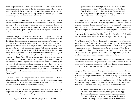term "dispensationalist." Stan Gundry declares, "...I now attach relatively minor importance to the label itself. To continue to use the label sets up an unnecessary barrier between ourselves and non-dispensationalists, when in fact all sides seem to be gradually moving toward a common ground both methodologically and in terms of conclusions."<sup>9</sup>

Gundry's remarks underscore another trend to which we referred earlier—minimizing the distinctions between dispensationalism and covenant theology. This is a strange position, because dispensational theology **is** different from other theological systems, especially covenant theology to which Gundry particularly speaks. Dispensationalists are right to emphasize the differences because they are significant.

Traditional dispensationalists view the Messianic kingdom as something entirely future and yet to be established when Christ returns to earth. Revisionist dispensationalists have adopted what is called the "already-not yet" concept of the kingdom in which they see the Davidic kingdom as already partially present with the fuller phase yet to come. Christ is now sitting on the throne of David but only in a spiritual aspect. Such an interpretation breaks down the historic, and we believe biblical, method of literal interpretation followed by dispensationalists. The throne of David refers to a literal kingdom on this earth involving a literal nation, Israel. It is not in part or in whole a spiritual kingdom. To say this is a serious departure from what is considered normal dispensationalism. Bruce Waltke, a former dispensationalist who now embraces covenant theology, sees this clearly and comments, "This already-not yet model of dispensationalism, entailing a less than one-for-one correspondence between Old Testament covenants and prophecies and their partial fulfillment in the church, shakes the very foundation of dispensational hermeneutics, which includes a consistent literalistic interpretation of the Old Testament."11

Any method of biblical interpretation which "shakes the very foundation of dispensational hermeneutics" should certainly be viewed with some alarm. This is especially true if it blurs the distinction between the Church and Israel, which is at the very heart of dispensational teaching.

Gary Breshears, a professor at Multnomah and an advocate of revised dispenstionalism, makes a disturbing statement which is certainly more in the camp of covenant theology than of dispensationalism:

I suggest that we see one redeemed people of God, saved by

grace through faith in the promises of God based on the atoning death of Christ. This is the single seed of Abraham Paul develops at length in Romans 4 and Galatians 3 and 4....The promises and prophecies of redemption come to all who are the single redeemed people of God.<sup>12</sup>

It seems plain from the Word of God the Messianic kingdom, as prophesied in multitudes of Old Testament Scriptures, is yet future. There is no Messianic kingdom on earth at the present time. This, however, is denied by progressive dispensationalists. According to them, the kingdom, in part, is already here. They have adopted in substance the position of George Ladd, a former Fuller Seminary professor who, in commenting on Peter's sermon in Acts 2, stated: "Peter, transfers the Messianic Davidic throne from Jerusalem to God's *right hand* in heaven...*he has* begun His Messianic reign as the Davidic King."<sup>13</sup>

Darrell Bock states, "the Davidic throne and the heavenly throne of Jesus...are one and the same.<sup>314</sup> He elucidates further by saying, "Jesus rules now in spiritual-salvific terms, in a new community that is part of the kingdom program, and in a way that inaugurates Davidic promises....Thus the new community, the church, is the showcase of God's present reign through Messiah Jesus, who inaugurates the fulfillment of God's promises" (pp. 64-65). In other words, Christ is now sitting on the throne of David.

Such conclusions are not compatible with historic dispensationalism. They move toward covenant theology, which identifies the Church with Israel. It would not be surprising to see more and more former dispensationalists embracing the covenant system as some already have.

**Dangers**. There are ecumenical dangers inherent in this system. This was evident in the early days of its development. Many advocates of progressive dispensationalism promote the idea we should "cozy up" to covenant and Reformed theologians because our systems are not really different after all. This seems mighty strange to some who have spent their lives seeking to maintain and clarify the differences between these two systems. For instance, there is this observation from Gerry Breshears, a revolutionist leader:

> Too often dispensational theology has tried to define itself as if it were wholly different from any other system of theology. This has resulted in an attitude that all theologians other than dispensationalists have given up truth. Covenant theology is presented as heresy in disguise and evangelical brothers are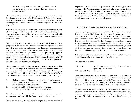viewed with suspicion or outright hostility. We must realize that there are few, if any, factors which are unique to dispensationalis.<sup>13</sup>

This movement tends to reflect the evangelical ecumenism so popular today. Stan Gundry even suggests the label "dispensationalist" sets up "unnecessary barriers between ourselves and non-dispensationalists" and may hinder us from "moving toward a common ground."<sup>16</sup> We should forget "labels" and "work together."

We believe some of the above statements are skewed and certainly misleading. There is exaggeration for effect. Those who are loyal to the biblical system of dispensationalism are not seeking to "move toward a common ground" with non-dispensationalists. This does not mean we cannot recognize them as brothers in Christ.

There are deep concerns also about the hermeneutical implications of progressive dispensationalism. Dispensationalists have always been known for their clear and consistent application of the historical-grammatical-literal principle of interpretation. The new dispensationalists deny this literal hermeneutic is essential to dispensationalism. The "spiritualizing" approach adopted by revisionist dispensationalists toward some scripture passages is more in line with the method historically used by non-dispensationalists. If they continue to follow such an interpretive scheme, will it be long until they have abandoned dispensationalism altogether?

There are important ecclesiological overtones to progressive dispensationalism as well. In forsaking a clear distinction between Israel and the Church, one declares, at least to some extent, the Church is the *new Israel*. This opens up other possible errors. Identification with Israel is one of the chief defenses covenant theologians have for their concept of infant baptism. They argue:

- 1. God's covenant with Abraham was primarily a spiritual covenant.
- 2. Circumcision was the sign and seal of this covenant. Infants received circumcision in the Old Testament era.
- 3. Baptism is the New Testament sign of the covenant.
- 4. Infants may receive baptism in the New Testament era.

Not all progressive dispensationalists would follow this reasoning. The tendency to equate Israel with the Church makes it easier to do so.

There are, of course, also eschatological implications to the position of

progressive dispensationalism. They are not as clear-cut and aggressive in speaking of the Rapture as dispensationalists have historically been. This is possibly because of their weakening of the distinctions between Israel and the Church since the doctrine of pretribulationism depends upon such a distinction. Time will tell as to how the views of progressive dispensationalists will affect their teaching concerning the Rapture.

#### **WHAT DISPENSATIONS ARE SEEN IN THE SCRIPTURE?**

Historically, a good number of dispensationalists have found seven dispensations revealed in Scripture. The popularity of this view is no doubt in large part due to the fact it was presented in The Scofield Bible and, thus, spread among the churches. Some dispensationalists have noted as few as three dispensations—law, grace, and kingdom. It should be emphasized, however, being a dispensationalist does not require one to believe in a certain number of dispensations. It relates more to the adoption of certain principles, some of which we have presented earlier. For our purpose, we set forth seven dispensations without suggesting all must agree on the exact number.

A clear grasp of the dispensational scheme of divine administration greatly assists the average believer in understanding the Scriptures.

#### **Dispensation of Freedom.**

| THE TEST:                  | Would man accept and obey what God said or |
|----------------------------|--------------------------------------------|
|                            | operate by his own reason?                 |
| KEY SCRIPTURE: Genesis 1-3 |                                            |

This is often referred to as the dispensation of *INNOCENCE*. It describes the initial encounters of man and God prior to his disobedience in the garden of Eden. Under this particular revelation of the will of God, man was responsible to tend the garden and obey God. God provided for man ideal conditions in which to live. He also provided for him a mate in the person of Eve.

The term *freedom* is used by some to characterize this dispensation because man was free in a moral sense before sin enslaved his will. He did not pass the test, however. This dispensation ended in divine judgment, which included the permanent fall of Adam, his expulsion from the garden, and God's curse upon the ground.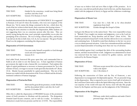### **Dispensation of Moral Responsibility.**

| THE TEST:             | Guided by his conscience, would man bring blood |
|-----------------------|-------------------------------------------------|
|                       | sacrifices and obey God?                        |
| <b>KEY SCRIPTURE:</b> | Genesis 3-8; Romans 2:14,15                     |

Scofield denominated this the dispensation of *CONSCIENCE*. It is suggested in Romans 2:14 and 15 where the Gentiles, who were not recipients of the Mosaic law, "do by nature the things contained in the law...which show the work of the law written in their hearts, their conscience also bearing witness..." By using the term *conscience* to describe this dispensation, Bible students are not suggesting there was no conscience present after this time. They are merely saying during this time, man's principle responsibility was to obey the prompting of his conscience. He was to bring a blood sacrifice, and because Cain did not do this in faith (Gen. 4:3, 4), he was rejected. The great Noahic Flood was the judgment concluding this dispensation.

#### **Dispensation of Civil Government**.

| THE TEST:      | Can man make himself acceptable to God through |
|----------------|------------------------------------------------|
|                | social and civil organization?                 |
| KEY SCRIPTURE: | Genesis 8-11                                   |

God called Noah, bestowed His grace upon him, and commanded him to build an ark in order to save the human race. A basic ingredient of human government–the right to take a human life–was instituted. Paul explains this right of capital punishment as necessary to human government for "he is the minister of God, a revenger to execute wrath upon him that doeth evil" (Rom. 13:4). Murder became punishable by capital punishment. This test of the human race ended with the destruction of the Tower of Babel and the divinelyinstituted confusion of human languages.

#### **Dispensation of Patriarchal Rule**.

| THE TEST:             | Motivated by great divine promises, would Abraham |
|-----------------------|---------------------------------------------------|
|                       | and his descendants believe and obey the Lord?    |
| <b>KEY SCRIPTURE:</b> | Genesis 11-Exodus 19                              |

Often this is called the dispensation of *PROMISE* because of the prominent nature of God's promises to Abraham and the patriarchs. The designation *Promised Land* became common, and we still use it today. In Galatians 3, distinction is made between promise and the law (3:15 ff). The responsibility

of man was to believe God and serve Him in light of His promises. As in other cases, man did not perfectly please God in this test, and the dispensation ended with the judgment of slavery in Egypt and the wilderness wanderings.

#### **Dispensation of Mosaic Law**.

| THE TEST:             | Can man live a holy life as he obeys detailed |
|-----------------------|-----------------------------------------------|
|                       | regulations from God?                         |
| <b>KEY SCRIPTURE:</b> | Exodus through the Gospel of John             |

God gave the Mosaic law to the nation Israel. They were responsible to keep it. "Behold, I have taught you statutes and judgments, even as the Lord my God commanded me...Keep therefore and do them" (Deut. 4:5-6). The Israelites promised to keep God's words, but they did not do so on a consistent and continuing basis. It should be noted that obedience to the law was never a way to obtain personal salvation. Critics have misunderstood this and falsely accused dispensationalists of teaching more than one way of salvation.

Israel rebelled against God, worshiped the idols of the surrounding heathen nations, and thus incurred divine wrath. Judgment was administered as Israel was removed from her land, was enslaved by godless nations, and later enslaved by the Roman Empire.

# **Dispensation of Grace**.

| THE TEST:      | Will man accept eternal life in Jesus Christ and then |
|----------------|-------------------------------------------------------|
|                | walk in the Spirit?                                   |
| KEY SCRIPTURE: | Acts 1-Revelation 3                                   |

Following the resurrection of Christ and the Day of Pentecost, a new dispensation was inaugurated: *the dispensation of grace*. We are presently living in this dispensation. Man is expected to now receive God's gift of salvation in the Lord Jesus Christ and to walk in the Spirit following conversion. Since the vast majority of the world will reject the Savior, God will take His people home by the Rapture and then pour out the judgments of the Tribulation.

#### **Dispensation of the Kingdom**.

THE TEST: Will man, under ideal conditions and under Christ's personal reign, obey God?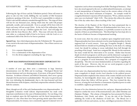# KEY SCRIPTURE: Old Testament millennial prophecies and Revelation 20

Following the Age of Grace and the Tribulation period, Christ will return in glory to rule over this world, fulfilling the vast number of Old Testament prophecies speaking of this time. It will be man's responsibility to submit to Christ's rule and His authority extended through His laws. The reign of Christ will last for one thousand years, during which time the earth will prosper spiritually, socially, and economically. Even so, people will be born with evil hearts and many will not accept Christ. At the end of the millennium, Satan will be allowed to stir up a rebellion against the Lord. God will judge the rebels with fire from Heaven (Rev. 20:9). Then man will enter the eternal state either as a redeemed child of God to be forever with the Lord or as acondemned child of the Devil to be forever punished.

**Special Case**. Into which dispensation does the Tribulation fit? The question is not crucial to the main issues of dispensationalism. One of three answers are usually given:

- 1. It is a separate dispensation.
- 2. It is a continuation of the dispensation of law.
- 3. It is the divine judgment concluding the Age of Grace.

# **HOW HAS DISPENSATIONALISM BEEN IMPORTANT TOFUNDAMENTALISM?**

A number of years ago, there arose a controversy in large American denominations over the Bible and its teachings. Theological liberals had become dominant and were denying many, if not most, of the great Christian doctrines. In defense of historic and biblical Christianity, there arose a group of people who became known as *fundamentalists*. The name was given because they were defending the *fundamentals*, that is, the time-honored and Godblessed doctrines of the Scripture, which had comprised the orthodox Christian faith for centuries.

Many (though not all) of the early fundamentalists were dispensationalists. A thoughtful evaluation would indicate dispensationalism has made some important contributions to the cause of fundamentalism. For one thing, it has kept an emphasis upon the full inspiration and the literal interpretation of Scripture in a day when there have been growing attacks upon these truths. Dispensationalists, for instance, have consistently opposed weakened views of

inspiration (such as those emanating from Fuller Theological Seminary). They have also stood opposed to the new so-called *cultural hermeneutics*, an attempt to seek interpretations of Scripture based on the current culture of the day rather than on the literal statements of Scripture. An example would be evangelical feminism's rejection of Paul's injunction, "Wives, submit yourselves unto your own husbands" (Eph. 5:25). They declare this reflects the cultural bias of the day rather than a direct teaching of the Lord.

The doctrine of the Rapture of the Church has been perpetuated due to dispensationalist diligence. While not all fundamentalists have been, or are, advocates of the pretribluation Rapture, it is probably accurate to say the vast majority of them are pretribulationists. This *blessed hope* has been kept alive in the hearts of believers because of dispensational teaching.

In recent years, there has arisen an emphasis upon *evangelical social concern*. Dispensationalists have been criticized, even by some fundamentalists, for their supposed lack of social concern. Years ago, Evangelist Dwight L. Moody declared believers should not be polishing the brass on the decks of a sinking vessel, but should be seeking to rescue individuals from hell through the preaching of the Gospel. Some have castigated Mr. Moody for this statement, but many would feel his observation to be accurate. Rather than become deeply involved in programs to aid the poor and the distressed (a program of self-betterment), dispensationalists have emphasized the Church as committed, not to a program of social betterment, but a program of evangelism and discipleship. This does not mean fundamentalists are heartless regarding the needs of the poor. However, they do not see social programs as part of Christ's Great Commission to the Church.

In the same vein, dispensationalism has been a deterrent to a tendency among some evangelicals to deeply involve local churches in the political process. Dispensationalists emphasize that citizens of the country should exercise their franchise, be knowledgeable about issues, and vote intelligently for those persons whom they believe will best govern. They have resisted the idea, however, of using the local churches as instruments of political power in order to establish a righteous government on earth.

Because of its clear distinction between law and grace, dispensationalism has helped to combat the errors of Reconstructionism (also called *Theonomy* and *Dominion Theology*). This scheme of thought has been promoted by Rousas Rushdoony, Gary North, and others. It sees the task of the Churches subduing the world to the obedience of God's law. The Mosaic law is applicable to all men and nations, say they, and diligent promotion of this law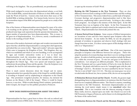will bring in the kingdom. The are postmillennial, not premillennial.

While much maligned in recent days, the dispensational scheme, as set forth in The Scofield Bible, assisted thousands of believers in their Bible study and made the Word of God live. Current critics look down their noses at TheScofield Bible as lacking scholarship. Few human books, however, have had the tremendous impact of the Bible and spurred lay people on to a study of the Scriptures.

One of the features of dispensationalism most despised by many of its critics is its teaching on the apostasy of the professing Church. This teaching has produced some large-scale separations from the apostate denominations. The largest number of separatists have been dispensationalists. This, to many, is the great sin of dispensationalism. It is, however, merely a manifestation of loyalty to the teaching of God's Word.

Advocates of the modern charismatic and signs-and-wonders movements look upon what they call *old-line* dispensationalists as among their chief opponents, and indeed they are correct in this. "Signs and wonders" advocates argue that Christ came to inaugurate the Kingdom of God. This Kingdom, they say, which was established and which we are now heralding, is to be accompanied by signs and wonders (miraculous works) as it was in Jesus' day. Dispensationalists teach the miraculous signs and wonders, which were demonstrated in the early Church, were never intended to be perpetuated throughout the Church Age. They were special and temporary signs to authenticate the preaching of Jesus and the apostles. Once the Scriptures were completed, the need for such miraculous signs ended.

There is much current discussion about the Gospel and its nature. Dispensationalists have guarded the purity of the Gospel by carefully defining it according to Scripture and by emphasizing its uniqueness to the Church Age. One prominent evangelical preacher, for instance, has declared the Sermon on the Mount is full of the Gospel. Where it would be found, however, is not clear. While revealed during Christ's ministry (particularly in John's Gospel), the Gospel was first publicly preached at Pentecost.

# **HOW DOES DISPENSATIONALISM ASSIST THE BIBLESTUDENT?**

Dispensationalism has been a great boon to those who seek an ordered and understandable system of Bible study. Over the years, many have been enabled

to open up the treasures of God's Word.

**Relating the Old Testament to the New Testament**. There are clear differences between God's workings in Old Testament times and His working in New Testament times. This seems evident from a careful study of Scripture. Covenant theology and progressive dispensationalism tend to blur these distinctions, emphasizing rather a perceived unity. In doing so, they confuse God's programs. An example is the ministry of the Holy Spirit. In the Old Testament there was no baptism of the Spirit. In the New Testament the baptism of the Spirit is explained and is closely related to the uniqueness of the Church. Dispensationalists have historically pointed this out.

**A System Derived from Scripture**. Some systems of biblical interpretation are inventions of men and have been imposed upon Scripture rather than derived from Scripture. As one studies the Bible, he sees the progressive principle of revelation in operation and observes God's dealings with men change from time to time. It is these various aspects of His dealings which we refer to as "dispensations."

**Clear Distinction Between Law and Grace**. One of the most important principles in Scripture is the difference between law and grace. Those who adopt the position of covenant theology state there is an over-arching *covenant of grace*. In order to hold this position, one must somehow include the Mosaic Law within the covenant of grace. To mix law and grace in this fashion is contradictory. Law and grace are different principles. This is emphasized in the New Testament and was a great burden of Paul as he wrote the Book of Galatians. He pleads with believers not to be "entangled again with the yoke of bondage" (Gal 5:1). He declares "no man is justified by the law" because "the law is not of faith" (Gal. 3:11-12). This does not mean grace was never revealed under the Mosaic law, but as systems of life, the two are incompatible.

**A Distinction Between Israel and the Church**. Possibly, the greatest single distinguishing factor in dispensationalism is its insistence that the Church and Israel are two completely different entities. The Church is a *mystery*, something unrevealed in the Old Testament. Revisionist dispensationalists are now claiming the word *mystery* simply means it was **unrealized** rather then **unrevealed**. This is not consistent with the inherent meaning of *mystery*. Many truths, however, depend upon one truth—the Church was not in the Old Testament, it began at Pentecost, and its future is to be distinguished from the future of the nation Israel.

# **A Distinction Between the Church and the Messianic Kingdom**. As has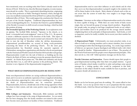been mentioned, some are teaching today that Christ is already seated on the throne of David. If this be true, then the Messianic kingdom, in some manner, must already be a reality. This is a particularly disturbing doctrine, originating as it has from professors at Dallas Theological Seminary which, through the years, has steadfastly maintained the *throne of David* was a phrase describing the millennial office of Christ. This would support the conclusion the Church was not part of the Davidic kingdom. Traditional dispensationalism has been correct in distinguishing the two. To declare the Church is a partial fulfillment of the Davidic Covenant is to drift toward covenant theology, which has held this position all along.

**The Irremedial Apostasy of the Professing Church**. In an explanatory note on *apostasy,* The Scofield Bible declared: "Apostasy in the church, as in Israel...is irremedial and awaits judgment" (note on 2 Tim. 3:1). By apostasy is meant a deliberate rejection of the doctrines of the Faith. This aspect of dispensational teaching has been much resented and criticized by those who seek to turn the tide of liberalism within the old-line denominations. Dispensational premillennialists are accused of being overly-pessimistic concerning the future of the professing Church. For the most part, dispensationalism has flourished among the separatist segments of Christendom, among those organizations and churches who do not participate with the National and World Council of Churches1414 and other such groups. Dispensationalists would view the task of believers as building up the true Church, the Body of Christ, not seeking to rescue the apostate church from its unbelief. As Charles Ryrie points out, "The Bible does definitely and clearly teach that there was, is, and will be apostasy in the professing church. The doctrine is not a figment of the dispensationalist imagination."<sup>17</sup>

#### **WHAT SHOULD DISPENSATIONALISTS BE DOING NOW?**

Some non-dispensational scholars are saying traditional dispensationalism is dead, and it was never an authentic expression of true evangelical scholarship, but an aberration, appearing for a time and now vanishing away. To report the death of dispensationalism may be somewhat premature. Dispensationalists, however, should take note of the strong opposition which has arisen to their system, and take some positive steps to strengthen their witness.

**Bible Colleges and Seminaries**. Historically, Bible institutes and Bible colleges have been strongly in the camp of dispensationalism. As was noted, this has been changing since the faculty members not trained in this system have become more prominent on faculties of these institutions. Traditional

dispensationalists need to exert their influence at such schools and do what they can to see that dispensationalism is properly taught to the students who will be future leaders in the church. Many alumni of schools such as this are not aware that the system of truth they were taught is no longer being emphasized.

**Literature**. Literature on the subject of dispensationalism needs to be written by those capable of doing so. While there are some books of fairly recent origin, they are beyond the grasp of average church members. Regrettably, few people today are going to read large complicated books on any subject. Books and booklets need to be produced for the average church member enlightening them on the principles of dispensationalism. Such books, as well as magazines, used to be readily available, but in recent years their number has declined.

**A Dispensational Pulpit**. Unfortunately, too many preachers today, in an effort to hold on to straying members and to attract outsiders, have reverted to psychological rather than theological preaching. As a result, large numbers of believers are ignorant of great theological and biblical truths with which they should be familiar. Dispensationalism is one of these. The preacher of the Word of God must teach his people correct dispensational principles. If he does not do so, who will? Solid expository messages are the key here.

**Provide Literature and Instruction**. Pastors should expose their people to good dispensational teaching other than their own pulpit ministry. A good series of Sunday school studies would be in order and perhaps some special messages by a visiting speaker who would be competent in this field. Literature on the subject should be made available for loan or purchase, and the pastor should call attention to it.

#### **CONCLUSION**

Battles can be lost because good men do nothing. We cannot afford to lose this battle. Let us rise up and do what we can to perpetuate this fine system of biblical study, which has blessed and helped so many of God's people.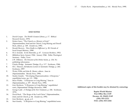#### **END NOTES**

- 1. David Cooper. *The World's Greatest Library*, p. 17. Biblical Research Society, 1970.
- 2. Robert Saucy. "The Church as a Mystery of God," *Dispensationalism, Israel and the Church*, Craig Blaising and Darrell Bock, editors, p. 149. Zondervan, 1992.
- 3. Renald Showers. *There Really is a Difference!* p. 30. Friends of Israel Gospel Ministry, 1990.
- 4. H.A. Ironside. *In the Heavenlies*, p. 67. Liozeaux Brothers, 1953.
- 5. *Bibliotheca Sacra*, January 1944 - January 1946. Dallas Theological Seminary. Dallas, Texas.
- 6. J.W. Dilliston. *The Structure of the Divine Society*, p. 134. No publishing information.
- 7. Charles Hodge. *Systematic Theology, II,* p. 117. Eerdmans, 1946.
- 8. H.C. Thiessen, *Introductory Lectures to Systematic Theology*, p. 263. Eerdmans, 1997.
- 9. Wesley Willis and John R. Master, editors. *Issues in Dispensationalism*. Moody Press, 1994.
- 10. Stanley Gundry. "Developing Dispensationalism: A Response," unpublished notes, pp. 2-3. 1986.
- 11. Bruce Waltke. "A Response to Craig Blaising," *Issues in Dispensationalism*, p. 197. Moody Press, 1994.
- 12. Gary Breshears. "A Response to Craig Blaising," unpublished notes, *Dispensational Theology* discussion, 1986.
- 13. George Ladd. *A Theology of the New Testament*, p. 336. Eerdmans, 1974.
- 14. David Bock. "The Reign of the Lord Christ," *Dispensationalism, Israel, and the Church*, p. 64. Zondervan, 1992.
- 15. Gary Bershears. *op. cit.*, p.3.
- 16. Stan Gundry. "A Response to Craig Blaising," unpublished notes.

**Additional copies of this booklet may be obtained by contacting:**

**Baptist World Mission Post Office Box 2149Decatur, AL 35602-2149 (256) 353-2221 FAX: (256) 353-2266**